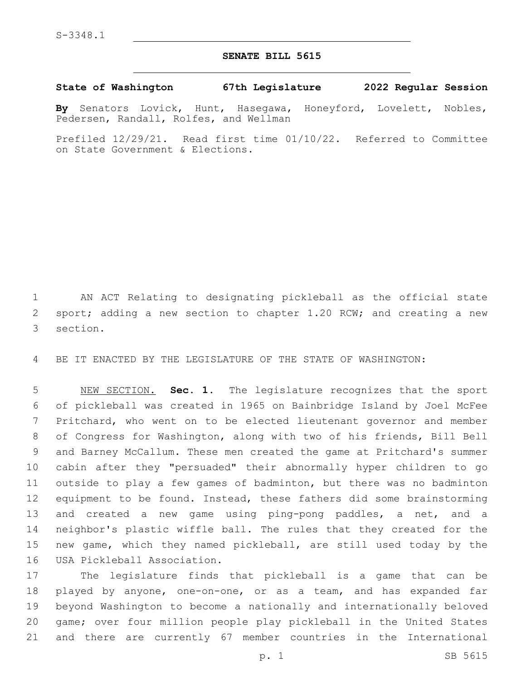## **SENATE BILL 5615**

**State of Washington 67th Legislature 2022 Regular Session**

**By** Senators Lovick, Hunt, Hasegawa, Honeyford, Lovelett, Nobles, Pedersen, Randall, Rolfes, and Wellman

Prefiled 12/29/21. Read first time 01/10/22. Referred to Committee on State Government & Elections.

 AN ACT Relating to designating pickleball as the official state 2 sport; adding a new section to chapter 1.20 RCW; and creating a new 3 section.

BE IT ENACTED BY THE LEGISLATURE OF THE STATE OF WASHINGTON:

 NEW SECTION. **Sec. 1.** The legislature recognizes that the sport of pickleball was created in 1965 on Bainbridge Island by Joel McFee Pritchard, who went on to be elected lieutenant governor and member of Congress for Washington, along with two of his friends, Bill Bell and Barney McCallum. These men created the game at Pritchard's summer cabin after they "persuaded" their abnormally hyper children to go outside to play a few games of badminton, but there was no badminton equipment to be found. Instead, these fathers did some brainstorming and created a new game using ping-pong paddles, a net, and a neighbor's plastic wiffle ball. The rules that they created for the new game, which they named pickleball, are still used today by the USA Pickleball Association.

 The legislature finds that pickleball is a game that can be played by anyone, one-on-one, or as a team, and has expanded far beyond Washington to become a nationally and internationally beloved game; over four million people play pickleball in the United States and there are currently 67 member countries in the International